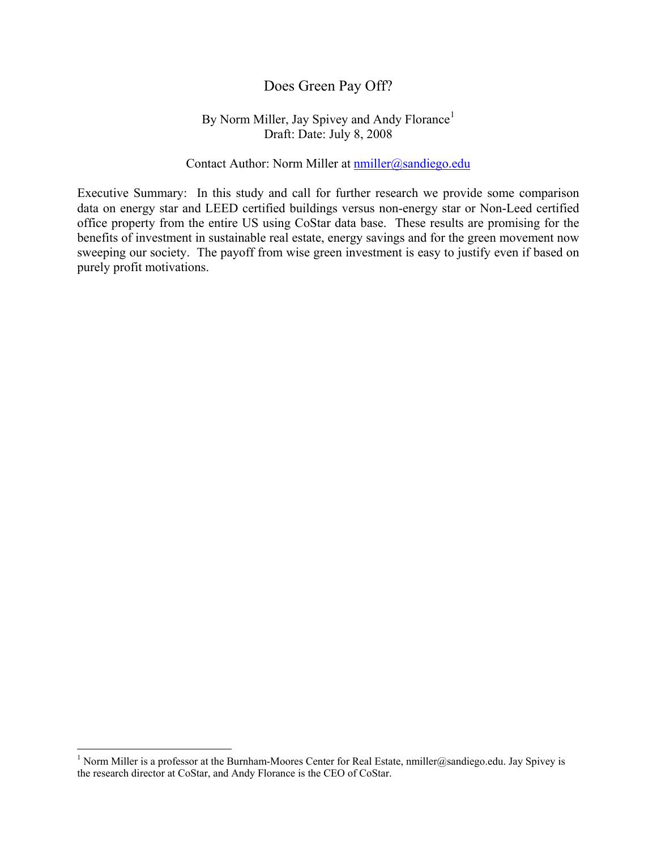## Does Green Pay Off?

#### By Norm Miller, Jay Spivey and Andy Florance<sup>[1](#page-0-0)</sup> Draft: Date: July 8, 2008

#### Contact Author: Norm Miller at *[nmiller@sandiego.edu](mailto:nmiller@sandiego.edu)*

Executive Summary: In this study and call for further research we provide some comparison data on energy star and LEED certified buildings versus non-energy star or Non-Leed certified office property from the entire US using CoStar data base. These results are promising for the benefits of investment in sustainable real estate, energy savings and for the green movement now sweeping our society. The payoff from wise green investment is easy to justify even if based on purely profit motivations.

1

<span id="page-0-0"></span><sup>&</sup>lt;sup>1</sup> Norm Miller is a professor at the Burnham-Moores Center for Real Estate, nmiller@sandiego.edu. Jay Spivey is the research director at CoStar, and Andy Florance is the CEO of CoStar.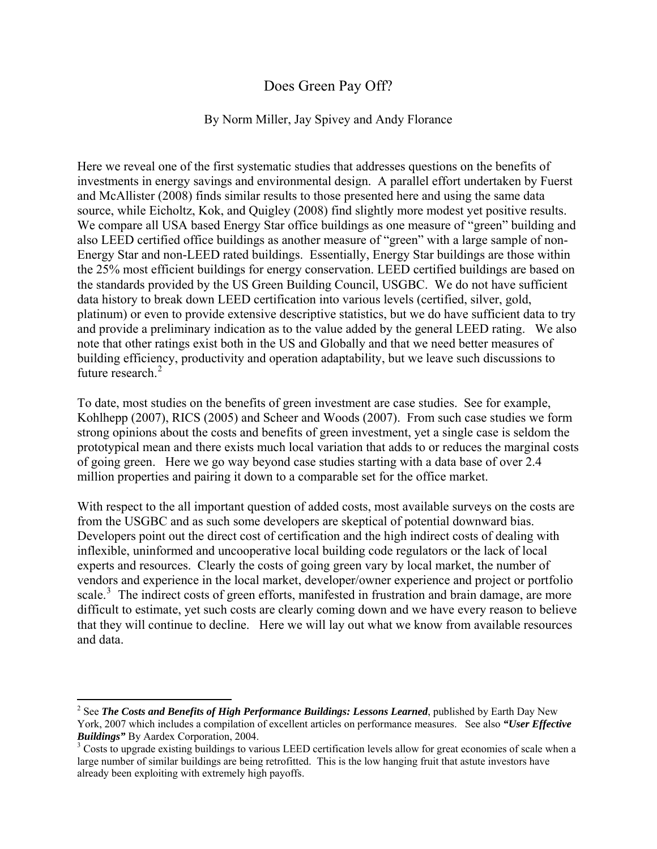## Does Green Pay Off?

#### By Norm Miller, Jay Spivey and Andy Florance

Here we reveal one of the first systematic studies that addresses questions on the benefits of investments in energy savings and environmental design. A parallel effort undertaken by Fuerst and McAllister (2008) finds similar results to those presented here and using the same data source, while Eicholtz, Kok, and Quigley (2008) find slightly more modest yet positive results. We compare all USA based Energy Star office buildings as one measure of "green" building and also LEED certified office buildings as another measure of "green" with a large sample of non-Energy Star and non-LEED rated buildings. Essentially, Energy Star buildings are those within the 25% most efficient buildings for energy conservation. LEED certified buildings are based on the standards provided by the US Green Building Council, USGBC. We do not have sufficient data history to break down LEED certification into various levels (certified, silver, gold, platinum) or even to provide extensive descriptive statistics, but we do have sufficient data to try and provide a preliminary indication as to the value added by the general LEED rating. We also note that other ratings exist both in the US and Globally and that we need better measures of building efficiency, productivity and operation adaptability, but we leave such discussions to future research. $2$ 

To date, most studies on the benefits of green investment are case studies. See for example, Kohlhepp (2007), RICS (2005) and Scheer and Woods (2007). From such case studies we form strong opinions about the costs and benefits of green investment, yet a single case is seldom the prototypical mean and there exists much local variation that adds to or reduces the marginal costs of going green. Here we go way beyond case studies starting with a data base of over 2.4 million properties and pairing it down to a comparable set for the office market.

With respect to the all important question of added costs, most available surveys on the costs are from the USGBC and as such some developers are skeptical of potential downward bias. Developers point out the direct cost of certification and the high indirect costs of dealing with inflexible, uninformed and uncooperative local building code regulators or the lack of local experts and resources. Clearly the costs of going green vary by local market, the number of vendors and experience in the local market, developer/owner experience and project or portfolio scale.<sup>[3](#page-1-1)</sup> The indirect costs of green efforts, manifested in frustration and brain damage, are more difficult to estimate, yet such costs are clearly coming down and we have every reason to believe that they will continue to decline. Here we will lay out what we know from available resources and data.

 $\overline{a}$ 

<span id="page-1-0"></span><sup>&</sup>lt;sup>2</sup> See *The Costs and Benefits of High Performance Buildings: Lessons Learned*, published by Earth Day New York, 2007 which includes a compilation of excellent articles on performance measures. See also *"User Effective*  **Buildings**" By Aardex Corporation, 2004.

<span id="page-1-1"></span><sup>&</sup>lt;sup>3</sup> Costs to upgrade existing buildings to various LEED certification levels allow for great economies of scale when a large number of similar buildings are being retrofitted. This is the low hanging fruit that astute investors have already been exploiting with extremely high payoffs.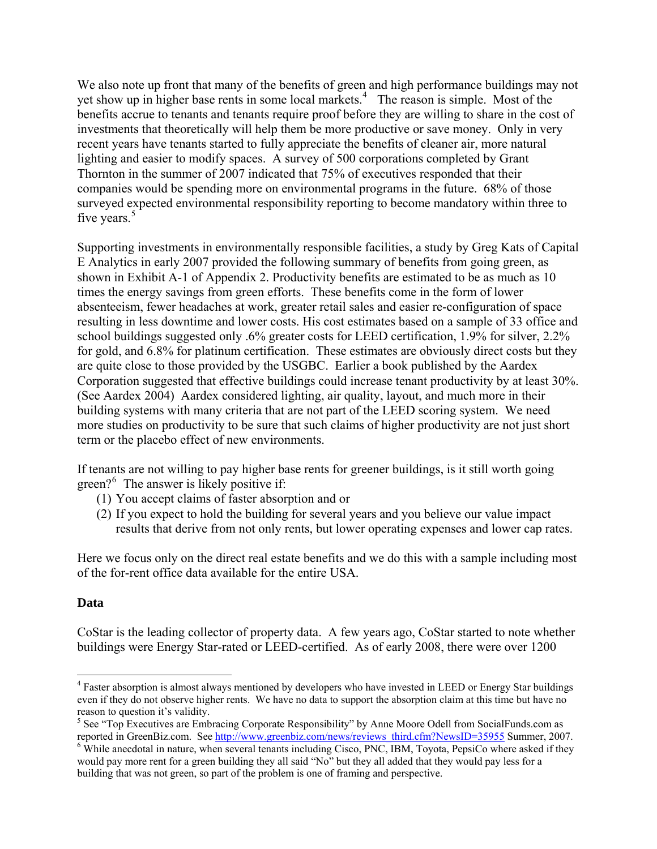We also note up front that many of the benefits of green and high performance buildings may not yet show up in higher base rents in some local markets.<sup>[4](#page-2-0)</sup> The reason is simple. Most of the benefits accrue to tenants and tenants require proof before they are willing to share in the cost of investments that theoretically will help them be more productive or save money. Only in very recent years have tenants started to fully appreciate the benefits of cleaner air, more natural lighting and easier to modify spaces. A survey of 500 corporations completed by Grant Thornton in the summer of 2007 indicated that 75% of executives responded that their companies would be spending more on environmental programs in the future. 68% of those surveyed expected environmental responsibility reporting to become mandatory within three to five years.<sup>[5](#page-2-1)</sup>

Supporting investments in environmentally responsible facilities, a study by Greg Kats of Capital E Analytics in early 2007 provided the following summary of benefits from going green, as shown in Exhibit A-1 of Appendix 2. Productivity benefits are estimated to be as much as 10 times the energy savings from green efforts. These benefits come in the form of lower absenteeism, fewer headaches at work, greater retail sales and easier re-configuration of space resulting in less downtime and lower costs. His cost estimates based on a sample of 33 office and school buildings suggested only .6% greater costs for LEED certification, 1.9% for silver, 2.2% for gold, and 6.8% for platinum certification. These estimates are obviously direct costs but they are quite close to those provided by the USGBC. Earlier a book published by the Aardex Corporation suggested that effective buildings could increase tenant productivity by at least 30%. (See Aardex 2004) Aardex considered lighting, air quality, layout, and much more in their building systems with many criteria that are not part of the LEED scoring system. We need more studies on productivity to be sure that such claims of higher productivity are not just short term or the placebo effect of new environments.

If tenants are not willing to pay higher base rents for greener buildings, is it still worth going green?<sup>[6](#page-2-2)</sup> The answer is likely positive if:

- (1) You accept claims of faster absorption and or
- (2) If you expect to hold the building for several years and you believe our value impact results that derive from not only rents, but lower operating expenses and lower cap rates.

Here we focus only on the direct real estate benefits and we do this with a sample including most of the for-rent office data available for the entire USA.

## **Data**

CoStar is the leading collector of property data. A few years ago, CoStar started to note whether buildings were Energy Star-rated or LEED-certified. As of early 2008, there were over 1200

<span id="page-2-0"></span> $\overline{a}$ <sup>4</sup> Faster absorption is almost always mentioned by developers who have invested in LEED or Energy Star buildings even if they do not observe higher rents. We have no data to support the absorption claim at this time but have no reason to question it's validity.

<span id="page-2-1"></span><sup>&</sup>lt;sup>5</sup> See "Top Executives are Embracing Corporate Responsibility" by Anne Moore Odell from SocialFunds.com as reported in GreenBiz.com. See [http://www.greenbiz.com/news/reviews\\_third.cfm?NewsID=35955](http://www.greenbiz.com/news/reviews_third.cfm?NewsID=35955) Summer, 2007.

<span id="page-2-2"></span><sup>&</sup>lt;sup>6</sup> While anecdotal in nature, when several tenants including Cisco, PNC, IBM, Toyota, PepsiCo where asked if they would pay more rent for a green building they all said "No" but they all added that they would pay less for a building that was not green, so part of the problem is one of framing and perspective.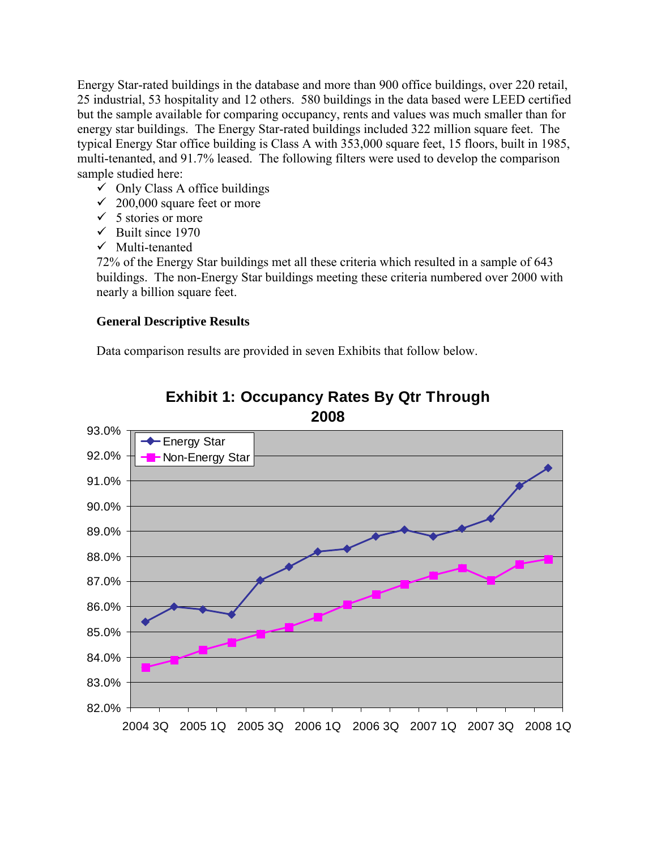Energy Star-rated buildings in the database and more than 900 office buildings, over 220 retail, 25 industrial, 53 hospitality and 12 others. 580 buildings in the data based were LEED certified but the sample available for comparing occupancy, rents and values was much smaller than for energy star buildings. The Energy Star-rated buildings included 322 million square feet. The typical Energy Star office building is Class A with 353,000 square feet, 15 floors, built in 1985, multi-tenanted, and 91.7% leased. The following filters were used to develop the comparison sample studied here:

- $\checkmark$  Only Class A office buildings
- $\checkmark$  200,000 square feet or more
- $\checkmark$  5 stories or more
- $\checkmark$  Built since 1970
- $\checkmark$  Multi-tenanted

72% of the Energy Star buildings met all these criteria which resulted in a sample of 643 buildings. The non-Energy Star buildings meeting these criteria numbered over 2000 with nearly a billion square feet.

## **General Descriptive Results**

Data comparison results are provided in seven Exhibits that follow below.



# **Exhibit 1: Occupancy Rates By Qtr Through 2008**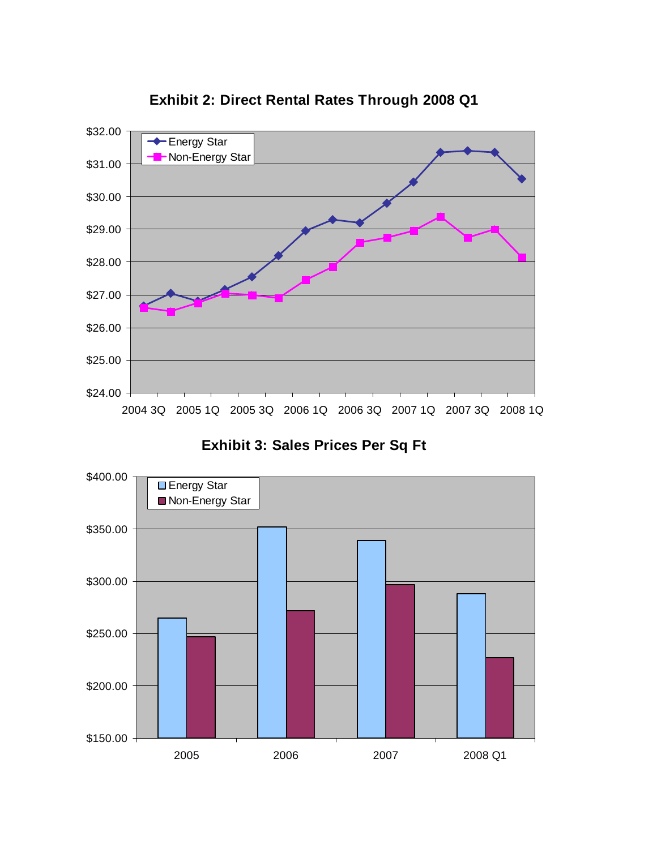



**Exhibit 3: Sales Prices Per Sq Ft**

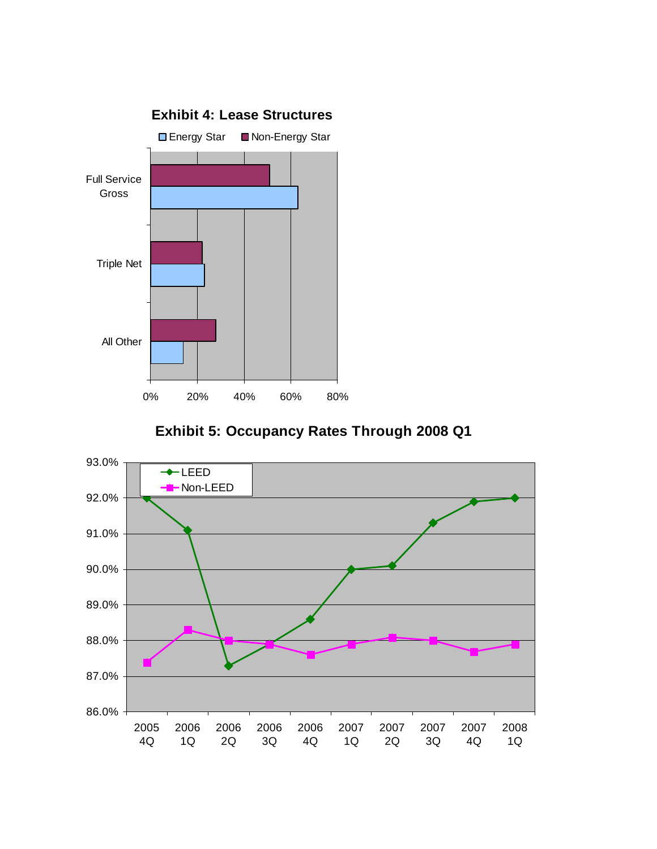

## **Exhibit 5: Occupancy Rates Through 2008 Q1**

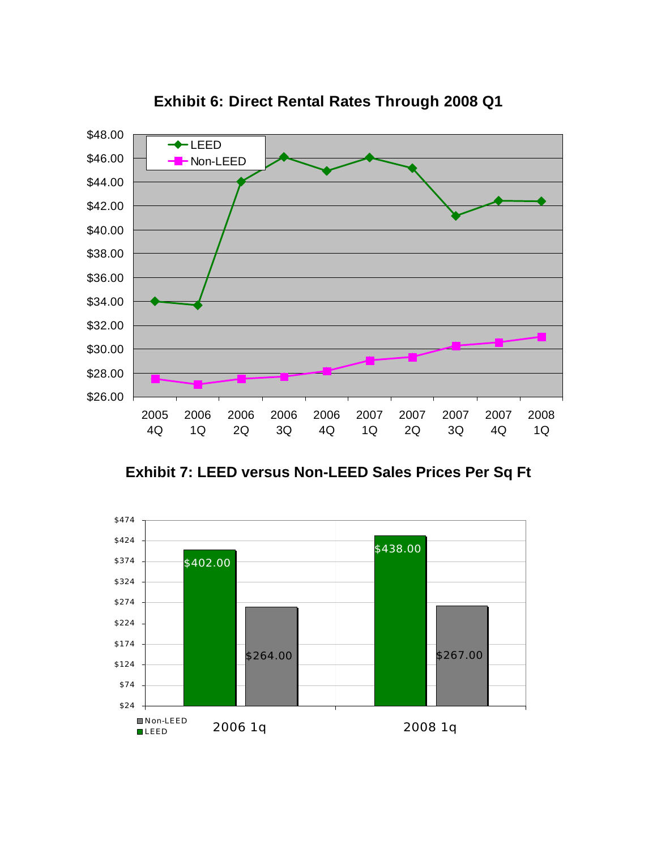

**Exhibit 6: Direct Rental Rates Through 2008 Q1**

**Exhibit 7: LEED versus Non-LEED Sales Prices Per Sq Ft** 

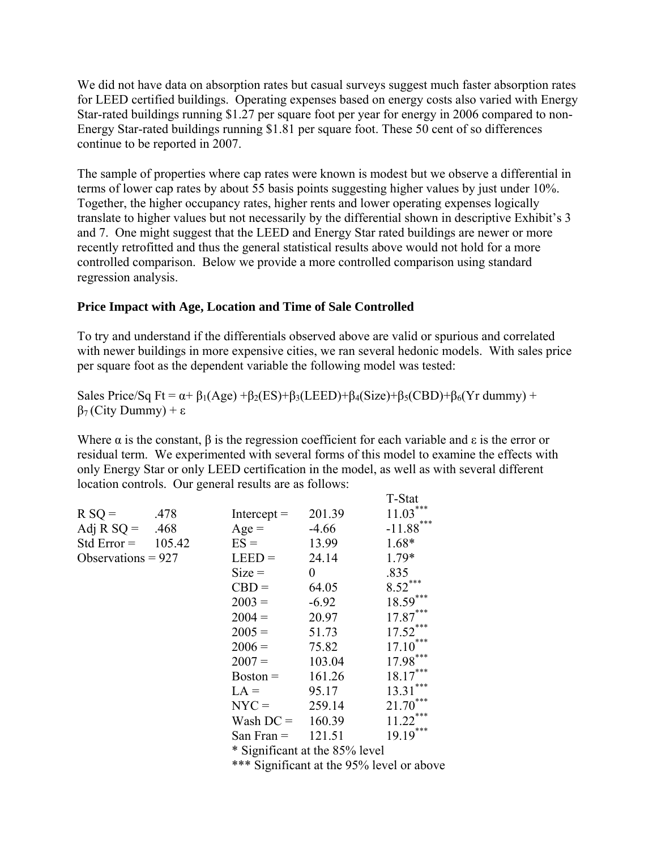We did not have data on absorption rates but casual surveys suggest much faster absorption rates for LEED certified buildings. Operating expenses based on energy costs also varied with Energy Star-rated buildings running \$1.27 per square foot per year for energy in 2006 compared to non-Energy Star-rated buildings running \$1.81 per square foot. These 50 cent of so differences continue to be reported in 2007.

The sample of properties where cap rates were known is modest but we observe a differential in terms of lower cap rates by about 55 basis points suggesting higher values by just under 10%. Together, the higher occupancy rates, higher rents and lower operating expenses logically translate to higher values but not necessarily by the differential shown in descriptive Exhibit's 3 and 7. One might suggest that the LEED and Energy Star rated buildings are newer or more recently retrofitted and thus the general statistical results above would not hold for a more controlled comparison. Below we provide a more controlled comparison using standard regression analysis.

#### **Price Impact with Age, Location and Time of Sale Controlled**

To try and understand if the differentials observed above are valid or spurious and correlated with newer buildings in more expensive cities, we ran several hedonic models. With sales price per square foot as the dependent variable the following model was tested:

Sales Price/Sq Ft =  $\alpha$ +  $\beta_1(Age)$  + $\beta_2(ES)$ + $\beta_3(LEED)$ + $\beta_4(Size)$ + $\beta_5(CBD)$ + $\beta_6(Yr$  dummy) +  $β_7$  (City Dummy) + ε

Where  $\alpha$  is the constant,  $\beta$  is the regression coefficient for each variable and  $\epsilon$  is the error or residual term. We experimented with several forms of this model to examine the effects with only Energy Star or only LEED certification in the model, as well as with several different location controls. Our general results are as follows:

|                      |      |                   |                                | T-Stat      |
|----------------------|------|-------------------|--------------------------------|-------------|
| $R SO =$             | .478 | $Intercept =$     | 201.39                         | $11.03***$  |
| Adj R SQ = $.468$    |      | $Age =$           | $-4.66$                        | $-11.88***$ |
| Std Error = $105.42$ |      | $ES =$            | 13.99                          | $1.68*$     |
| Observations = $927$ |      | $LEED =$          | 24.14                          | 1.79*       |
|                      |      | $Size =$          | $\theta$                       | .835        |
|                      |      | $CBD =$           | 64.05                          | $8.52***$   |
|                      |      | $2003 =$          | $-6.92$                        | $18.59***$  |
|                      |      | $2004 =$          | 20.97                          | $17.87***$  |
|                      |      | $2005 =$          | 51.73                          | $17.52***$  |
|                      |      | $2006 =$          | 75.82                          | $17.10***$  |
|                      |      | $2007 =$          | 103.04                         | $17.98***$  |
|                      |      | $\text{Boston} =$ | 161.26                         | $18.17***$  |
|                      |      | $LA =$            | 95.17                          | $13.31***$  |
|                      |      | $NYC =$           | 259.14                         | $21.70***$  |
|                      |      | Wash $DC =$       | 160.39                         | $11.22***$  |
|                      |      | San Fran $=$      | 121.51                         | $19.19***$  |
|                      |      |                   | * Significant at the 85% level |             |

\*\*\* Significant at the 95% level or above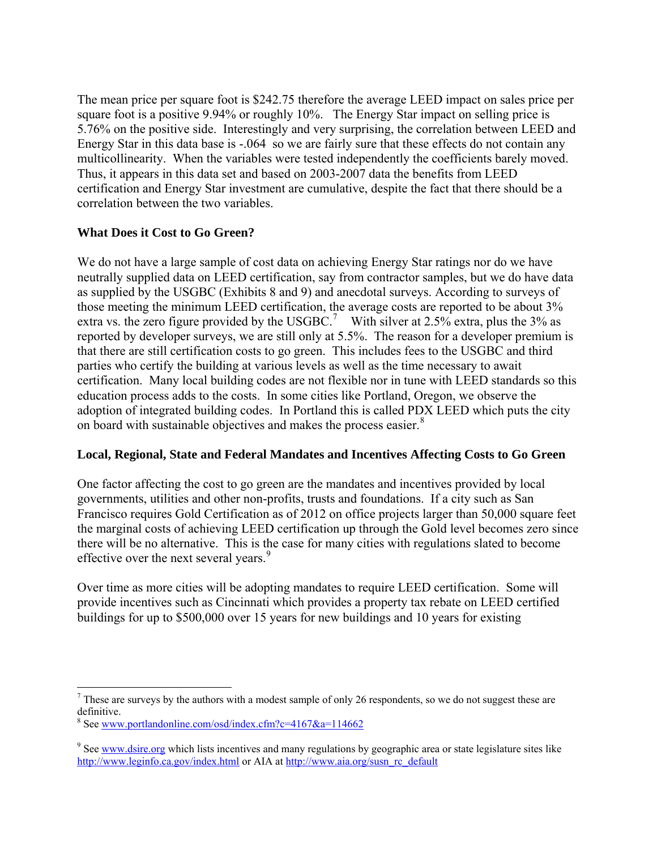The mean price per square foot is \$242.75 therefore the average LEED impact on sales price per square foot is a positive 9.94% or roughly 10%. The Energy Star impact on selling price is 5.76% on the positive side. Interestingly and very surprising, the correlation between LEED and Energy Star in this data base is -.064 so we are fairly sure that these effects do not contain any multicollinearity. When the variables were tested independently the coefficients barely moved. Thus, it appears in this data set and based on 2003-2007 data the benefits from LEED certification and Energy Star investment are cumulative, despite the fact that there should be a correlation between the two variables.

## **What Does it Cost to Go Green?**

We do not have a large sample of cost data on achieving Energy Star ratings nor do we have neutrally supplied data on LEED certification, say from contractor samples, but we do have data as supplied by the USGBC (Exhibits 8 and 9) and anecdotal surveys. According to surveys of those meeting the minimum LEED certification, the average costs are reported to be about 3% extra vs. the zero figure provided by the USGBC.<sup>[7](#page-8-0)</sup> With silver at 2.5% extra, plus the 3% as reported by developer surveys, we are still only at 5.5%. The reason for a developer premium is that there are still certification costs to go green. This includes fees to the USGBC and third parties who certify the building at various levels as well as the time necessary to await certification. Many local building codes are not flexible nor in tune with LEED standards so this education process adds to the costs. In some cities like Portland, Oregon, we observe the adoption of integrated building codes. In Portland this is called PDX LEED which puts the city on board with sustainable objectives and makes the process easier.<sup>[8](#page-8-1)</sup>

## **Local, Regional, State and Federal Mandates and Incentives Affecting Costs to Go Green**

One factor affecting the cost to go green are the mandates and incentives provided by local governments, utilities and other non-profits, trusts and foundations. If a city such as San Francisco requires Gold Certification as of 2012 on office projects larger than 50,000 square feet the marginal costs of achieving LEED certification up through the Gold level becomes zero since there will be no alternative. This is the case for many cities with regulations slated to become effective over the next several years.<sup>[9](#page-8-2)</sup>

Over time as more cities will be adopting mandates to require LEED certification. Some will provide incentives such as Cincinnati which provides a property tax rebate on LEED certified buildings for up to \$500,000 over 15 years for new buildings and 10 years for existing

 $\overline{a}$ 

<span id="page-8-0"></span> $<sup>7</sup>$  These are surveys by the authors with a modest sample of only 26 respondents, so we do not suggest these are</sup> definitive.

<span id="page-8-1"></span><sup>&</sup>lt;sup>8</sup> See [www.portlandonline.com/osd/index.cfm?c=4167&a=114662](http://www.portlandonline.com/osd/index.cfm?c=4167&a=114662)

<span id="page-8-2"></span><sup>&</sup>lt;sup>9</sup> See [www.dsire.org](http://www.dsire.org/) which lists incentives and many regulations by geographic area or state legislature sites like <http://www.leginfo.ca.gov/index.html> or AIA at [http://www.aia.org/susn\\_rc\\_default](http://www.aia.org/susn_rc_default)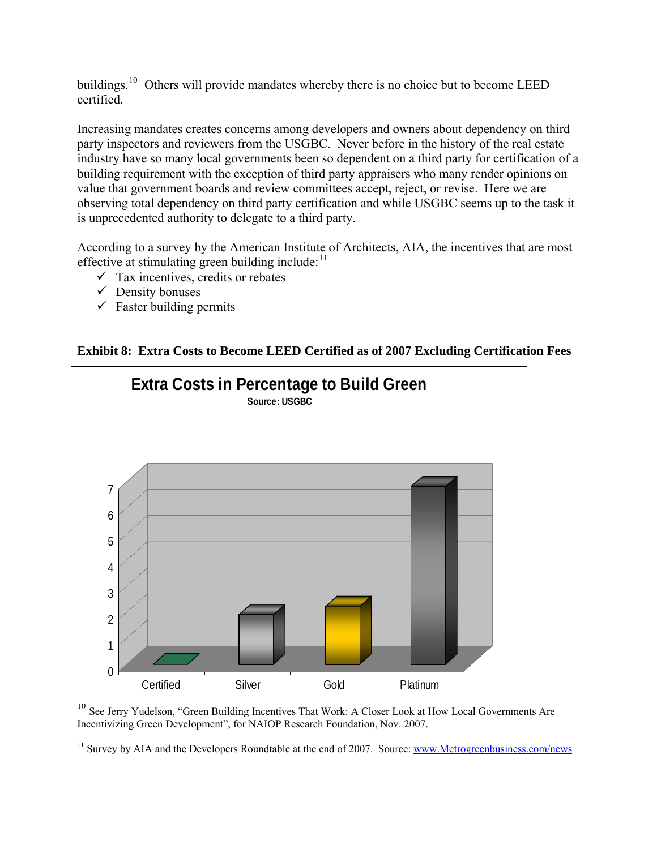buildings.<sup>[10](#page-9-0)</sup> Others will provide mandates whereby there is no choice but to become LEED certified.

Increasing mandates creates concerns among developers and owners about dependency on third party inspectors and reviewers from the USGBC. Never before in the history of the real estate industry have so many local governments been so dependent on a third party for certification of a building requirement with the exception of third party appraisers who many render opinions on value that government boards and review committees accept, reject, or revise. Here we are observing total dependency on third party certification and while USGBC seems up to the task it is unprecedented authority to delegate to a third party.

According to a survey by the American Institute of Architects, AIA, the incentives that are most effective at stimulating green building include: $11$ 

- $\checkmark$  Tax incentives, credits or rebates
- $\checkmark$  Density bonuses
- $\checkmark$  Faster building permits



**Exhibit 8: Extra Costs to Become LEED Certified as of 2007 Excluding Certification Fees** 

<span id="page-9-0"></span><sup>10</sup> See Jerry Yudelson, "Green Building Incentives That Work: A Closer Look at How Local Governments Are Incentivizing Green Development", for NAIOP Research Foundation, Nov. 2007.

<span id="page-9-1"></span><sup>11</sup> Survey by AIA and the Developers Roundtable at the end of 2007. Source: [www.Metrogreenbusiness.com/news](http://www.metrogreenbusiness.com/news)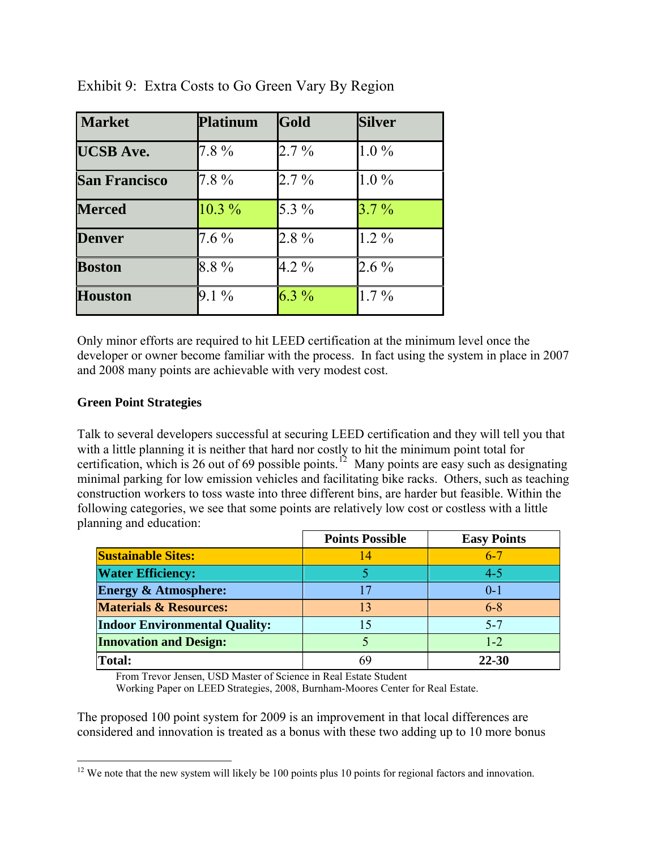| <b>Market</b>        | <b>Platinum</b> | Gold    | <b>Silver</b> |
|----------------------|-----------------|---------|---------------|
| <b>UCSB</b> Ave.     | $7.8\%$         | $2.7\%$ | $1.0\%$       |
| <b>San Francisco</b> | $7.8\%$         | $2.7\%$ | 1.0 %         |
| <b>Merced</b>        | 10.3 %          | 5.3 $%$ | $3.7\%$       |
| <b>Denver</b>        | $7.6\%$         | 2.8%    | $1.2\%$       |
| <b>Boston</b>        | 8.8%            | 4.2 %   | $2.6\%$       |
| <b>Houston</b>       | $9.1\%$         | $6.3\%$ | $1.7\%$       |

Exhibit 9: Extra Costs to Go Green Vary By Region

Only minor efforts are required to hit LEED certification at the minimum level once the developer or owner become familiar with the process. In fact using the system in place in 2007 and 2008 many points are achievable with very modest cost.

#### **Green Point Strategies**

Talk to several developers successful at securing LEED certification and they will tell you that with a little planning it is neither that hard nor costly to hit the minimum point total for certification, which is 26 out of 69 possible points.<sup>[12](#page-10-0)</sup> Many points are easy such as designating minimal parking for low emission vehicles and facilitating bike racks. Others, such as teaching construction workers to toss waste into three different bins, are harder but feasible. Within the following categories, we see that some points are relatively low cost or costless with a little planning and education:

|                                      | <b>Points Possible</b> | <b>Easy Points</b> |
|--------------------------------------|------------------------|--------------------|
| <b>Sustainable Sites:</b>            | 14                     | $6 - 7$            |
| <b>Water Efficiency:</b>             |                        | $4 - 5$            |
| <b>Energy &amp; Atmosphere:</b>      |                        | $0 - 1$            |
| <b>Materials &amp; Resources:</b>    | 13                     | $6 - 8$            |
| <b>Indoor Environmental Quality:</b> | 15                     | $5 - 7$            |
| <b>Innovation and Design:</b>        |                        | $1 - 2$            |
| <b>Total:</b>                        |                        | $22 - 30$          |

From Trevor Jensen, USD Master of Science in Real Estate Student

Working Paper on LEED Strategies, 2008, Burnham-Moores Center for Real Estate.

The proposed 100 point system for 2009 is an improvement in that local differences are considered and innovation is treated as a bonus with these two adding up to 10 more bonus

<span id="page-10-0"></span> $\overline{a}$  $12$  We note that the new system will likely be 100 points plus 10 points for regional factors and innovation.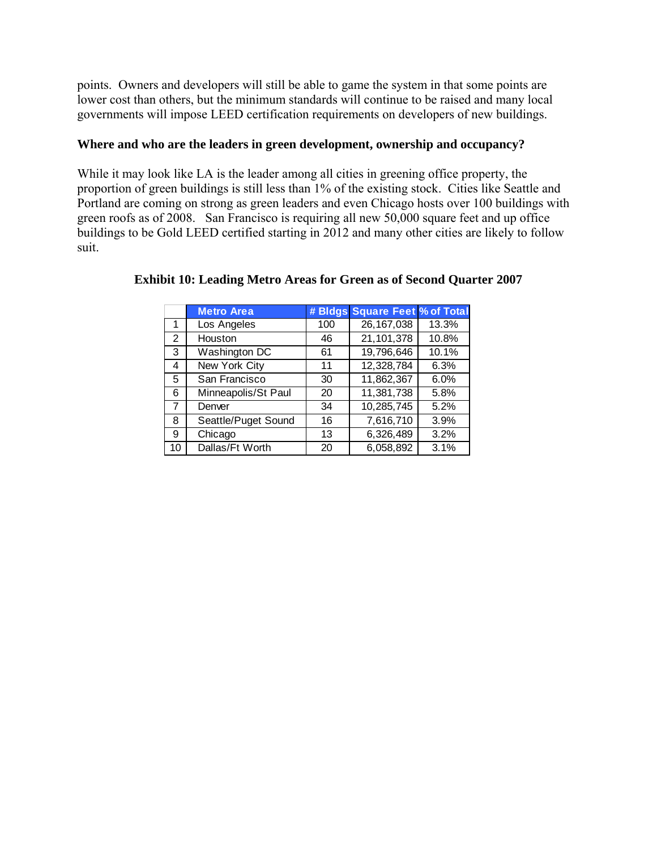points. Owners and developers will still be able to game the system in that some points are lower cost than others, but the minimum standards will continue to be raised and many local governments will impose LEED certification requirements on developers of new buildings.

#### **Where and who are the leaders in green development, ownership and occupancy?**

While it may look like LA is the leader among all cities in greening office property, the proportion of green buildings is still less than 1% of the existing stock. Cities like Seattle and Portland are coming on strong as green leaders and even Chicago hosts over 100 buildings with green roofs as of 2008. San Francisco is requiring all new 50,000 square feet and up office buildings to be Gold LEED certified starting in 2012 and many other cities are likely to follow suit.

|                | <b>Metro Area</b>    |     | # Bldgs Square Feet % of Total |       |
|----------------|----------------------|-----|--------------------------------|-------|
| 1              | Los Angeles          | 100 | 26, 167, 038                   | 13.3% |
| $\overline{2}$ | Houston              | 46  | 21, 101, 378                   | 10.8% |
| 3              | Washington DC        | 61  | 19,796,646                     | 10.1% |
| 4              | <b>New York City</b> | 11  | 12,328,784                     | 6.3%  |
| 5              | San Francisco        | 30  | 11,862,367                     | 6.0%  |
| 6              | Minneapolis/St Paul  | 20  | 11,381,738                     | 5.8%  |
| 7              | Denver               | 34  | 10,285,745                     | 5.2%  |
| 8              | Seattle/Puget Sound  | 16  | 7,616,710                      | 3.9%  |
| 9              | Chicago              | 13  | 6,326,489                      | 3.2%  |
| 10             | Dallas/Ft Worth      | 20  | 6,058,892                      | 3.1%  |

#### **Exhibit 10: Leading Metro Areas for Green as of Second Quarter 2007**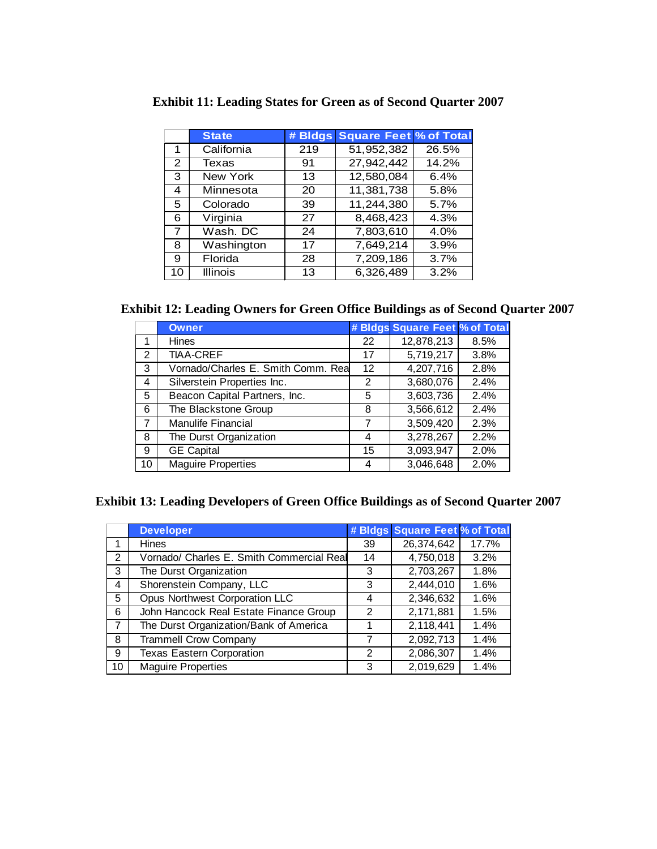|                | <b>State</b>    | # Bldgs | <b>Square Feet % of Total</b> |       |
|----------------|-----------------|---------|-------------------------------|-------|
| 1              | California      | 219     | 51,952,382                    | 26.5% |
| $\overline{2}$ | Texas           | 91      | 27,942,442                    | 14.2% |
| 3              | New York        | 13      | 12,580,084                    | 6.4%  |
| 4              | Minnesota       | 20      | 11,381,738                    | 5.8%  |
| 5.             | Colorado        | 39      | 11,244,380                    | 5.7%  |
| 6              | Virginia        | 27      | 8,468,423                     | 4.3%  |
| 7              | Wash. DC        | 24      | 7,803,610                     | 4.0%  |
| 8              | Washington      | 17      | 7,649,214                     | 3.9%  |
| 9              | Florida         | 28      | 7,209,186                     | 3.7%  |
| 10             | <b>Illinois</b> | 13      | 6,326,489                     | 3.2%  |

| <b>Exhibit 11: Leading States for Green as of Second Quarter 2007</b> |
|-----------------------------------------------------------------------|
|-----------------------------------------------------------------------|

**Exhibit 12: Leading Owners for Green Office Buildings as of Second Quarter 2007** 

|                | <b>Owner</b>                       |    | # Bldgs Square Feet % of Total |      |
|----------------|------------------------------------|----|--------------------------------|------|
| 1              | Hines                              | 22 | 12,878,213                     | 8.5% |
| 2              | <b>TIAA-CREF</b>                   | 17 | 5,719,217                      | 3.8% |
| 3              | Vornado/Charles E. Smith Comm. Rea | 12 | 4,207,716                      | 2.8% |
| 4              | Silverstein Properties Inc.        | 2  | 3,680,076                      | 2.4% |
| 5              | Beacon Capital Partners, Inc.      | 5  | 3,603,736                      | 2.4% |
| 6              | The Blackstone Group               | 8  | 3,566,612                      | 2.4% |
| $\overline{7}$ | <b>Manulife Financial</b>          | 7  | 3,509,420                      | 2.3% |
| 8              | The Durst Organization             | 4  | 3,278,267                      | 2.2% |
| 9              | <b>GE Capital</b>                  | 15 | 3,093,947                      | 2.0% |
| 10             | Maguire Properties                 | 4  | 3,046,648                      | 2.0% |

## **Exhibit 13: Leading Developers of Green Office Buildings as of Second Quarter 2007**

|    | <b>Developer</b>                          |                | # Bldgs Square Feet % of Total |       |
|----|-------------------------------------------|----------------|--------------------------------|-------|
|    | Hines                                     | 39             | 26,374,642                     | 17.7% |
| 2  | Vornado/ Charles E. Smith Commercial Real | 14             | 4,750,018                      | 3.2%  |
| 3  | The Durst Organization                    | 3              | 2,703,267                      | 1.8%  |
| 4  | Shorenstein Company, LLC                  | 3              | 2,444,010                      | 1.6%  |
| 5  | Opus Northwest Corporation LLC            | 4              | 2,346,632                      | 1.6%  |
| 6  | John Hancock Real Estate Finance Group    | 2              | 2,171,881                      | 1.5%  |
| 7  | The Durst Organization/Bank of America    |                | 2,118,441                      | 1.4%  |
| 8  | <b>Trammell Crow Company</b>              | 7              | 2,092,713                      | 1.4%  |
| 9  | <b>Texas Eastern Corporation</b>          | $\mathfrak{p}$ | 2,086,307                      | 1.4%  |
| 10 | <b>Maguire Properties</b>                 | 3              | 2,019,629                      | 1.4%  |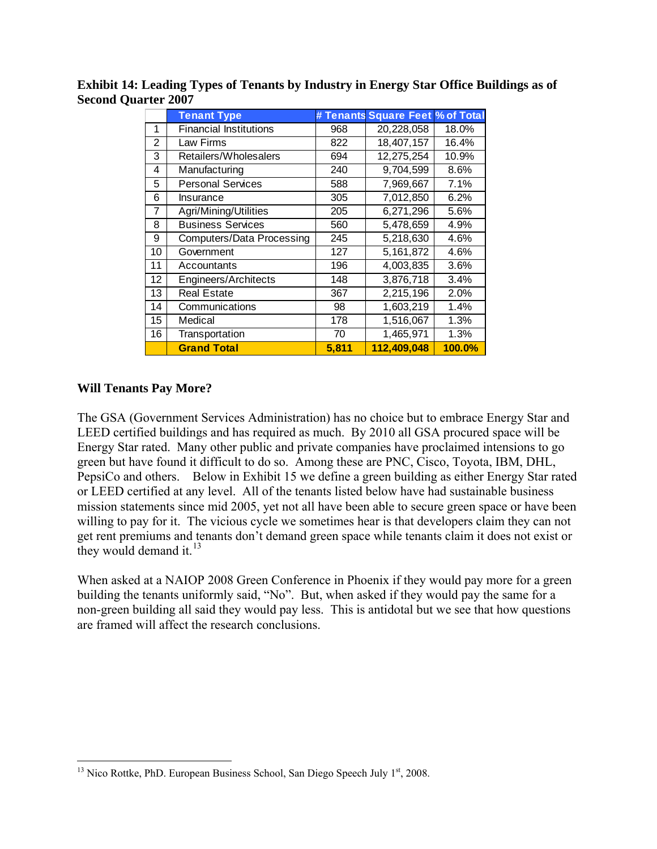|    | <b>Tenant Type</b>            |       | # Tenants Square Feet % of Total |        |
|----|-------------------------------|-------|----------------------------------|--------|
| 1  | <b>Financial Institutions</b> | 968   | 20,228,058                       | 18.0%  |
| 2  | Law Firms                     | 822   | 18,407,157                       | 16.4%  |
| 3  | Retailers/Wholesalers         | 694   | 12,275,254                       | 10.9%  |
| 4  | Manufacturing                 | 240   | 9,704,599                        | 8.6%   |
| 5  | <b>Personal Services</b>      | 588   | 7,969,667                        | 7.1%   |
| 6  | Insurance                     | 305   | 7,012,850                        | 6.2%   |
| 7  | Agri/Mining/Utilities         | 205   | 6,271,296                        | 5.6%   |
| 8  | <b>Business Services</b>      | 560   | 5,478,659                        | 4.9%   |
| 9  | Computers/Data Processing     | 245   | 5,218,630                        | 4.6%   |
| 10 | Government                    | 127   | 5,161,872                        | 4.6%   |
| 11 | Accountants                   | 196   | 4,003,835                        | 3.6%   |
| 12 | Engineers/Architects          | 148   | 3,876,718                        | 3.4%   |
| 13 | <b>Real Estate</b>            | 367   | 2,215,196                        | 2.0%   |
| 14 | Communications                | 98    | 1,603,219                        | 1.4%   |
| 15 | Medical                       | 178   | 1,516,067                        | 1.3%   |
| 16 | Transportation                | 70    | 1,465,971                        | 1.3%   |
|    | <b>Grand Total</b>            | 5,811 | 112,409,048                      | 100.0% |

**Exhibit 14: Leading Types of Tenants by Industry in Energy Star Office Buildings as of Second Quarter 2007**

## **Will Tenants Pay More?**

The GSA (Government Services Administration) has no choice but to embrace Energy Star and LEED certified buildings and has required as much. By 2010 all GSA procured space will be Energy Star rated. Many other public and private companies have proclaimed intensions to go green but have found it difficult to do so. Among these are PNC, Cisco, Toyota, IBM, DHL, PepsiCo and others. Below in Exhibit 15 we define a green building as either Energy Star rated or LEED certified at any level. All of the tenants listed below have had sustainable business mission statements since mid 2005, yet not all have been able to secure green space or have been willing to pay for it. The vicious cycle we sometimes hear is that developers claim they can not get rent premiums and tenants don't demand green space while tenants claim it does not exist or they would demand it. $^{13}$  $^{13}$  $^{13}$ 

When asked at a NAIOP 2008 Green Conference in Phoenix if they would pay more for a green building the tenants uniformly said, "No". But, when asked if they would pay the same for a non-green building all said they would pay less. This is antidotal but we see that how questions are framed will affect the research conclusions.

<span id="page-13-0"></span><sup>1</sup>  $13$  Nico Rottke, PhD. European Business School, San Diego Speech July  $1<sup>st</sup>$ , 2008.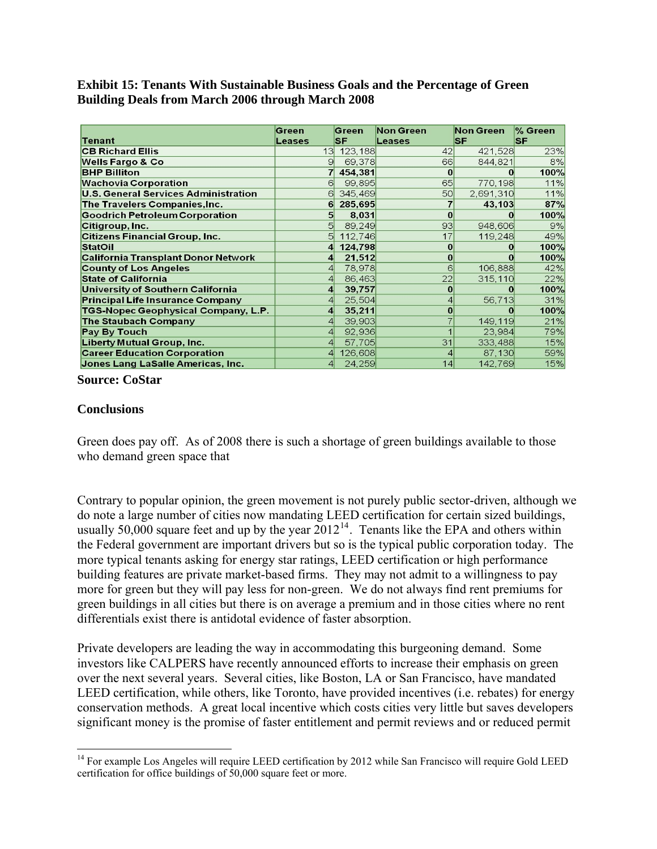**Exhibit 15: Tenants With Sustainable Business Goals and the Percentage of Green Building Deals from March 2006 through March 2008**

|                                             | <b>Green</b>             | <b>Green</b> | <b>Non Green</b> | <b>Non Green</b> | % Green   |
|---------------------------------------------|--------------------------|--------------|------------------|------------------|-----------|
| Tenant                                      | Leases                   | <b>SF</b>    | Leases           | <b>SF</b>        | <b>SF</b> |
| <b>CB Richard Ellis</b>                     | 13                       | 123,188      | 42               | 421,528          | 23%       |
| <b>Wells Fargo &amp; Co</b>                 | $\overline{9}$           | 69.378       | 66               | 844,821          | 8%        |
| <b>BHP Billiton</b>                         |                          | 454,381      | 0                | o                | 100%      |
| <b>Wachovia Corporation</b>                 | 6                        | 99,895       | 65               | 770,198          | 11%       |
| <b>U.S. General Services Administration</b> | 6                        | 345,469      | 50               | 2,691,310        | 11%       |
| The Travelers Companies, Inc.               | 6                        | 285,695      |                  | 43,103           | 87%       |
| <b>Goodrich Petroleum Corporation</b>       | $5\overline{a}$          | 8,031        | 0                |                  | 100%      |
| Citigroup, Inc.                             | 5 <sub>5</sub>           | 89,249       | 93               | 948,606          | 9%        |
| <b>Citizens Financial Group, Inc.</b>       | 5 <sup>1</sup>           | 112,746      | 17               | 119,248          | 49%       |
| <b>StatOil</b>                              | $\vert$                  | 124,798      | O                |                  | 100%      |
| <b>California Transplant Donor Network</b>  | 4                        | 21,512       | $\bf{0}$         |                  | 100%      |
| <b>County of Los Angeles</b>                | $\overline{4}$           | 78,978       | 6                | 106,888          | 42%       |
| <b>State of California</b>                  | $\vert$                  | 86,463       | 22               | 315,110          | 22%       |
| University of Southern California           | $\vert$                  | 39,757       | O                | O                | 100%      |
| <b>Principal Life Insurance Company</b>     | 4                        | 25,504       |                  | 56,713           | 31%       |
| <b>TGS-Nopec Geophysical Company, L.P.</b>  | 4                        | 35,211       | O                |                  | 100%      |
| <b>The Staubach Company</b>                 | $\overline{4}$           | 39,903       |                  | 149,119          | 21%       |
| <b>Pay By Touch</b>                         | $\overline{4}$           | 92,936       |                  | 23,984           | 79%       |
| <b>Liberty Mutual Group, Inc.</b>           | 4                        | 57,705       | 31               | 333,488          | 15%       |
| <b>Career Education Corporation</b>         | $\overline{\mathcal{A}}$ | 126,608      |                  | 87,130           | 59%       |
| Jones Lang LaSalle Americas, Inc.           | $\overline{4}$           | 24,259       | 14               | 142,769          | 15%       |

#### **Source: CoStar**

#### **Conclusions**

 $\overline{a}$ 

Green does pay off. As of 2008 there is such a shortage of green buildings available to those who demand green space that

Contrary to popular opinion, the green movement is not purely public sector-driven, although we do note a large number of cities now mandating LEED certification for certain sized buildings, usually 50,000 square feet and up by the year  $2012^{14}$  $2012^{14}$  $2012^{14}$ . Tenants like the EPA and others within the Federal government are important drivers but so is the typical public corporation today. T he more typical tenants asking for energy star ratings, LEED certification or high performance building features are private market-based firms. They may not admit to a willingness to pay more for green but they will pay less for non-green. We do not always find rent premiums for green buildings in all cities but there is on average a premium and in those cities where no rent differentials exist there is antidotal evidence of faster absorption.

Private developers are leading the way in accommodating this burgeoning demand. Some investors like CALPERS have recently announced efforts to increase their emphasis on green over the next several years. Several cities, like Boston, LA or San Francisco, have mandated LEED certification, while others, like Toronto, have provided incentives (i.e. rebates) for energy conservation methods. A great local incentive which costs cities very little but saves developers significant money is the promise of faster entitlement and permit reviews and or reduced permit

<span id="page-14-0"></span><sup>&</sup>lt;sup>14</sup> For example Los Angeles will require LEED certification by 2012 while San Francisco will require Gold LEED certification for office buildings of 50,000 square feet or more.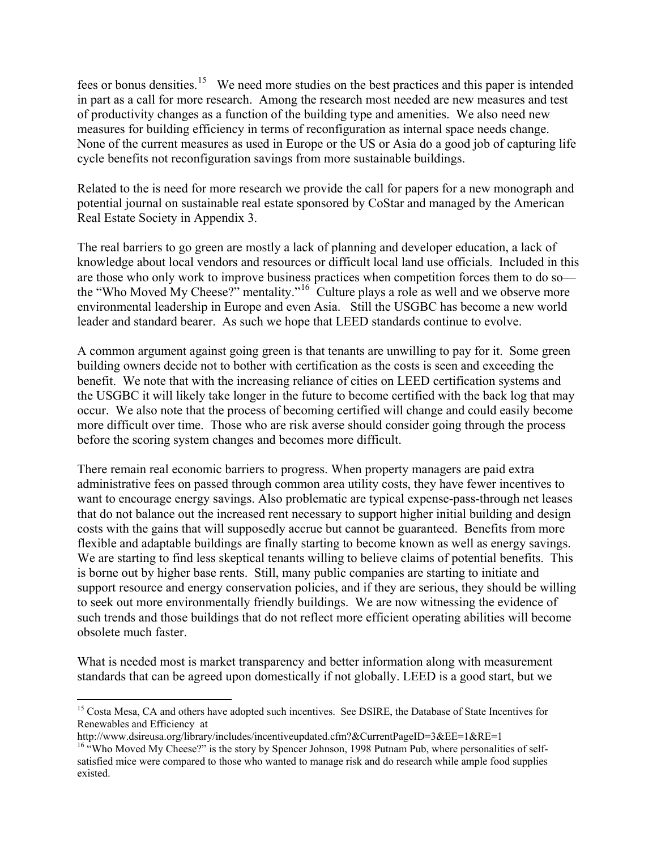fees or bonus densities.[15](#page-15-0) We need more studies on the best practices and this paper is intended in part as a call for more research. Among the research most needed are new measures and test of productivity changes as a function of the building type and amenities. We also need new measures for building efficiency in terms of reconfiguration as internal space needs change. None of the current measures as used in Europe or the US or Asia do a good job of capturing life cycle benefits not reconfiguration savings from more sustainable buildings.

Related to the is need for more research we provide the call for papers for a new monograph and potential journal on sustainable real estate sponsored by CoStar and managed by the American Real Estate Society in Appendix 3.

The real barriers to go green are mostly a lack of planning and developer education, a lack of knowledge about local vendors and resources or difficult local land use officials. Included in this are those who only work to improve business practices when competition forces them to do so— the "Who Moved My Cheese?" mentality."<sup>[16](#page-15-1)</sup> Culture plays a role as well and we observe more environmental leadership in Europe and even Asia. Still the USGBC has become a new world leader and standard bearer. As such we hope that LEED standards continue to evolve.

A common argument against going green is that tenants are unwilling to pay for it. Some green building owners decide not to bother with certification as the costs is seen and exceeding the benefit. We note that with the increasing reliance of cities on LEED certification systems and the USGBC it will likely take longer in the future to become certified with the back log that may occur. We also note that the process of becoming certified will change and could easily become more difficult over time. Those who are risk averse should consider going through the process before the scoring system changes and becomes more difficult.

There remain real economic barriers to progress. When property managers are paid extra administrative fees on passed through common area utility costs, they have fewer incentives to want to encourage energy savings. Also problematic are typical expense-pass-through net leases that do not balance out the increased rent necessary to support higher initial building and design costs with the gains that will supposedly accrue but cannot be guaranteed. Benefits from more flexible and adaptable buildings are finally starting to become known as well as energy savings. We are starting to find less skeptical tenants willing to believe claims of potential benefits. This is borne out by higher base rents. Still, many public companies are starting to initiate and support resource and energy conservation policies, and if they are serious, they should be willing to seek out more environmentally friendly buildings. We are now witnessing the evidence of such trends and those buildings that do not reflect more efficient operating abilities will become obsolete much faster.

What is needed most is market transparency and better information along with measurement standards that can be agreed upon domestically if not globally. LEED is a good start, but we

<u>.</u>

<span id="page-15-0"></span><sup>&</sup>lt;sup>15</sup> Costa Mesa, CA and others have adopted such incentives. See DSIRE, the Database of State Incentives for Renewables and Efficiency at<br>http://www.dsireusa.org/library/includes/incentiveupdated.cfm?&CurrentPageID=3&EE=1&RE=1

<span id="page-15-1"></span><sup>&</sup>lt;sup>16 "</sup>Who Moved My Cheese?" is the story by Spencer Johnson, 1998 Putnam Pub, where personalities of selfsatisfied mice were compared to those who wanted to manage risk and do research while ample food supplies existed.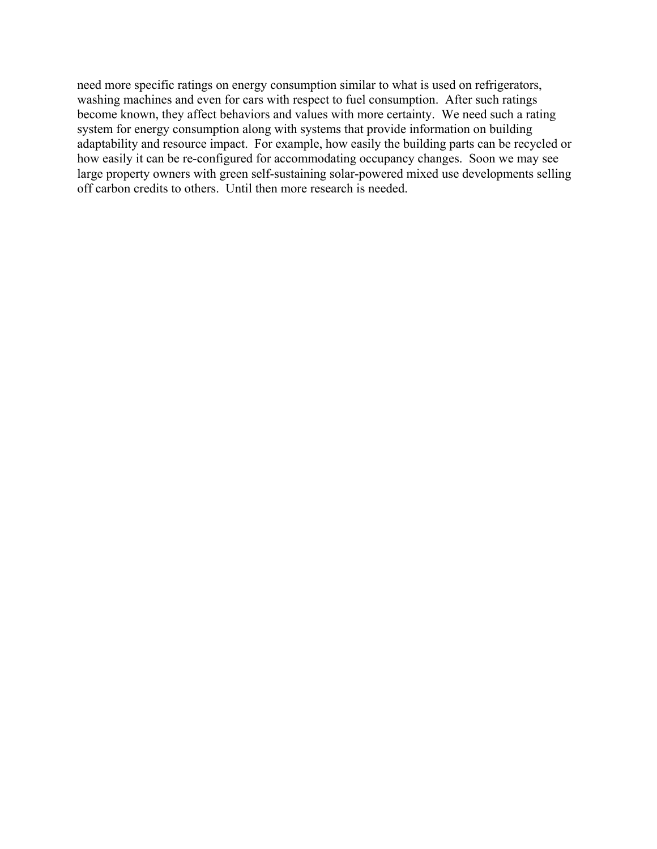need more specific ratings on energy consumption similar to what is used on refrigerators, washing machines and even for cars with respect to fuel consumption. After such ratings become known, they affect behaviors and values with more certainty. We need such a rating system for energy consumption along with systems that provide information on building adaptability and resource impact. For example, how easily the building parts can be recycled or how easily it can be re-configured for accommodating occupancy changes. Soon we may see large property owners with green self-sustaining solar-powered mixed use developments selling off carbon credits to others. Until then more research is needed.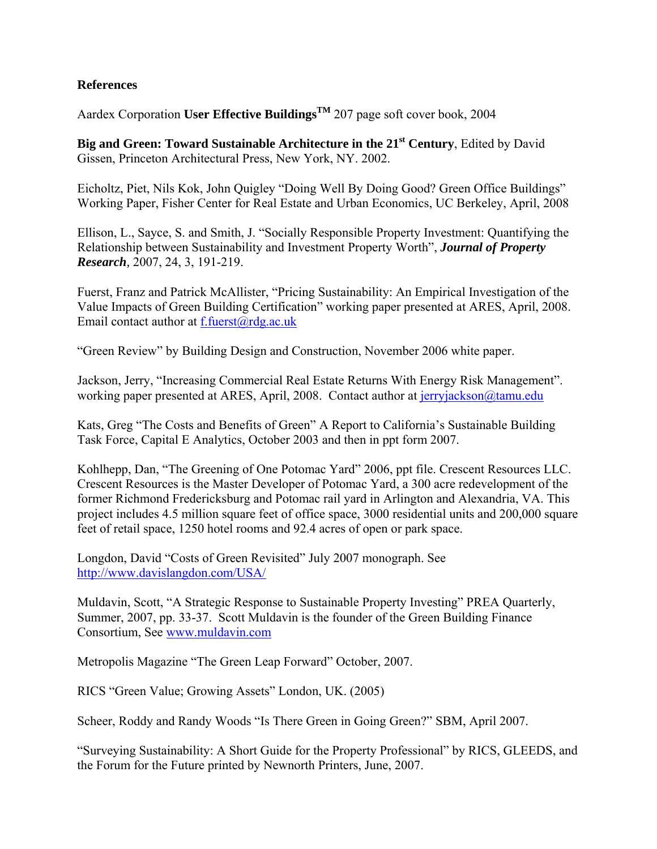#### **References**

Aardex Corporation **User Effective BuildingsTM** 207 page soft cover book, 2004

**Big and Green: Toward Sustainable Architecture in the 21<sup>st</sup> Century**, Edited by David Gissen, Princeton Architectural Press, New York, NY. 2002.

Eicholtz, Piet, Nils Kok, John Quigley "Doing Well By Doing Good? Green Office Buildings" Working Paper, Fisher Center for Real Estate and Urban Economics, UC Berkeley, April, 2008

Ellison, L., Sayce, S. and Smith, J. "Socially Responsible Property Investment: Quantifying the Relationship between Sustainability and Investment Property Worth", *Journal of Property Research,* 2007, 24, 3, 191-219.

Fuerst, Franz and Patrick McAllister, "Pricing Sustainability: An Empirical Investigation of the Value Impacts of Green Building Certification" working paper presented at ARES, April, 2008. Email contact author at  $\overline{f}$ . fuerst@rdg.ac.uk

"Green Review" by Building Design and Construction, November 2006 white paper.

Jackson, Jerry, "Increasing Commercial Real Estate Returns With Energy Risk Management". working paper presented at ARES, April, 2008. Contact author at [jerryjackson@tamu.edu](mailto:jerryjackson@tamu.edu)

Kats, Greg "The Costs and Benefits of Green" A Report to California's Sustainable Building Task Force, Capital E Analytics, October 2003 and then in ppt form 2007.

Kohlhepp, Dan, "The Greening of One Potomac Yard" 2006, ppt file. Crescent Resources LLC. Crescent Resources is the Master Developer of Potomac Yard, a 300 acre redevelopment of the former Richmond Fredericksburg and Potomac rail yard in Arlington and Alexandria, VA. This project includes 4.5 million square feet of office space, 3000 residential units and 200,000 square feet of retail space, 1250 hotel rooms and 92.4 acres of open or park space.

Longdon, David "Costs of Green Revisited" July 2007 monograph. See <http://www.davislangdon.com/USA/>

Muldavin, Scott, "A Strategic Response to Sustainable Property Investing" PREA Quarterly, Summer, 2007, pp. 33-37. Scott Muldavin is the founder of the Green Building Finance Consortium, See [www.muldavin.com](http://www.muldavin.com/)

Metropolis Magazine "The Green Leap Forward" October, 2007.

RICS "Green Value; Growing Assets" London, UK. (2005)

Scheer, Roddy and Randy Woods "Is There Green in Going Green?" SBM, April 2007.

"Surveying Sustainability: A Short Guide for the Property Professional" by RICS, GLEEDS, and the Forum for the Future printed by Newnorth Printers, June, 2007.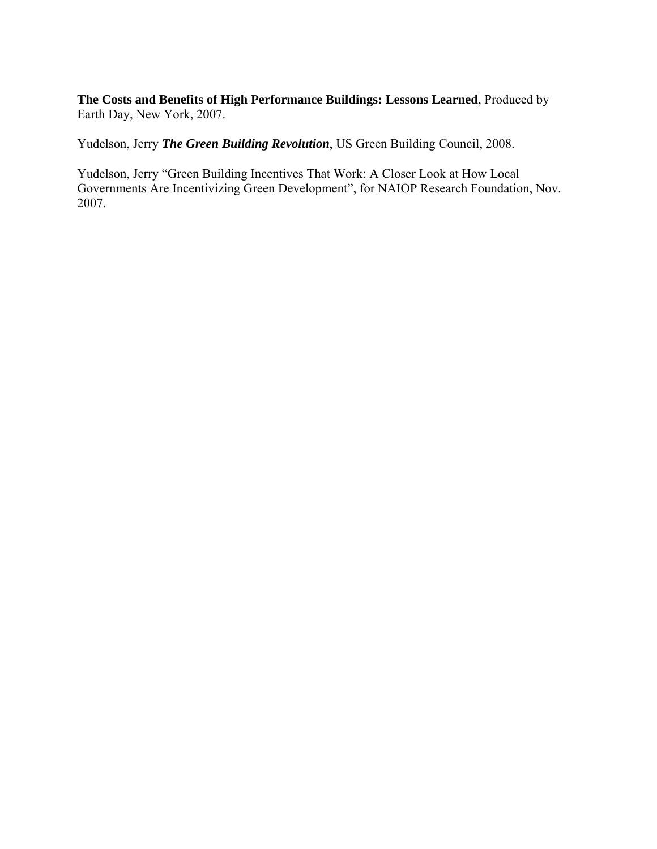**The Costs and Benefits of High Performance Buildings: Lessons Learned**, Produced by Earth Day, New York, 2007.

Yudelson, Jerry *The Green Building Revolution*, US Green Building Council, 2008.

Yudelson, Jerry "Green Building Incentives That Work: A Closer Look at How Local Governments Are Incentivizing Green Development", for NAIOP Research Foundation, Nov. 2007.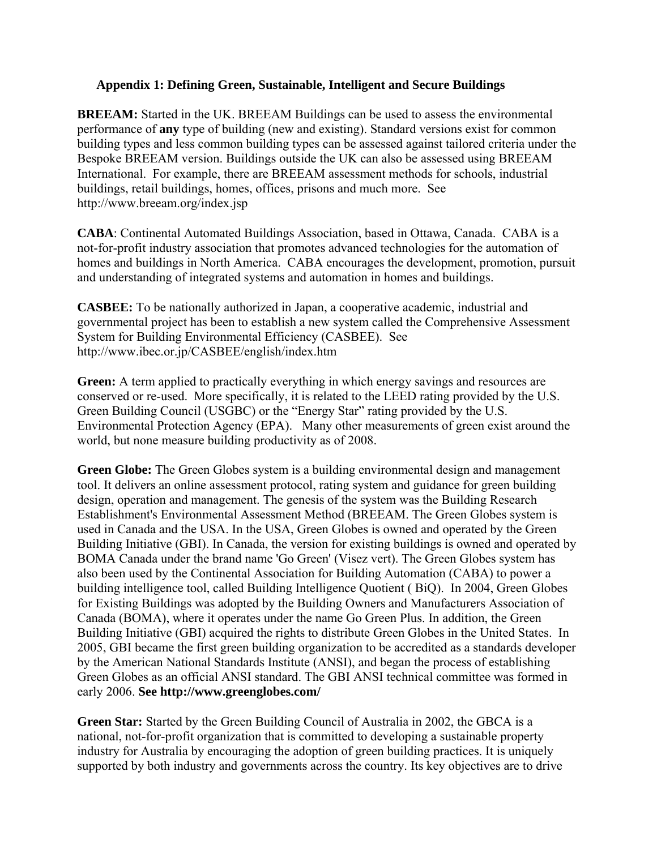#### **Appendix 1: Defining Green, Sustainable, Intelligent and Secure Buildings**

**BREEAM:** Started in the UK. BREEAM Buildings can be used to assess the environmental performance of **any** type of building (new and existing). Standard versions exist for common building types and less common building types can be assessed against tailored criteria under the Bespoke BREEAM version. Buildings outside the UK can also be assessed using BREEAM International. For example, there are BREEAM assessment methods for schools, industrial buildings, retail buildings, homes, offices, prisons and much more. See http://www.breeam.org/index.jsp

**CABA**: Continental Automated Buildings Association, based in Ottawa, Canada. CABA is a not-for-profit industry association that promotes advanced technologies for the automation of homes and buildings in North America. CABA encourages the development, promotion, pursuit and understanding of integrated systems and automation in homes and buildings.

**CASBEE:** To be nationally authorized in Japan, a cooperative academic, industrial and governmental project has been to establish a new system called the Comprehensive Assessment System for Building Environmental Efficiency (CASBEE). See http://www.ibec.or.jp/CASBEE/english/index.htm

**Green:** A term applied to practically everything in which energy savings and resources are conserved or re-used. More specifically, it is related to the LEED rating provided by the U.S. Green Building Council (USGBC) or the "Energy Star" rating provided by the U.S. Environmental Protection Agency (EPA). Many other measurements of green exist around the world, but none measure building productivity as of 2008.

**Green Globe:** The Green Globes system is a building environmental design and management tool. It delivers an online assessment protocol, rating system and guidance for green building design, operation and management. The genesis of the system was the Building Research Establishment's Environmental Assessment Method (BREEAM. The Green Globes system is used in Canada and the USA. In the USA, Green Globes is owned and operated by the Green Building Initiative (GBI). In Canada, the version for existing buildings is owned and operated by BOMA Canada under the brand name 'Go Green' (Visez vert). The Green Globes system has also been used by the Continental Association for Building Automation (CABA) to power a building intelligence tool, called Building Intelligence Quotient ( BiQ). In 2004, Green Globes for Existing Buildings was adopted by the Building Owners and Manufacturers Association of Canada (BOMA), where it operates under the name Go Green Plus. In addition, the Green Building Initiative (GBI) acquired the rights to distribute Green Globes in the United States. In 2005, GBI became the first green building organization to be accredited as a standards developer by the American National Standards Institute (ANSI), and began the process of establishing Green Globes as an official ANSI standard. The GBI ANSI technical committee was formed in early 2006. **See http://www.greenglobes.com/** 

**Green Star:** Started by the Green Building Council of Australia in 2002, the GBCA is a national, not-for-profit organization that is committed to developing a sustainable property industry for Australia by encouraging the adoption of green building practices. It is uniquely supported by both industry and governments across the country. Its key objectives are to drive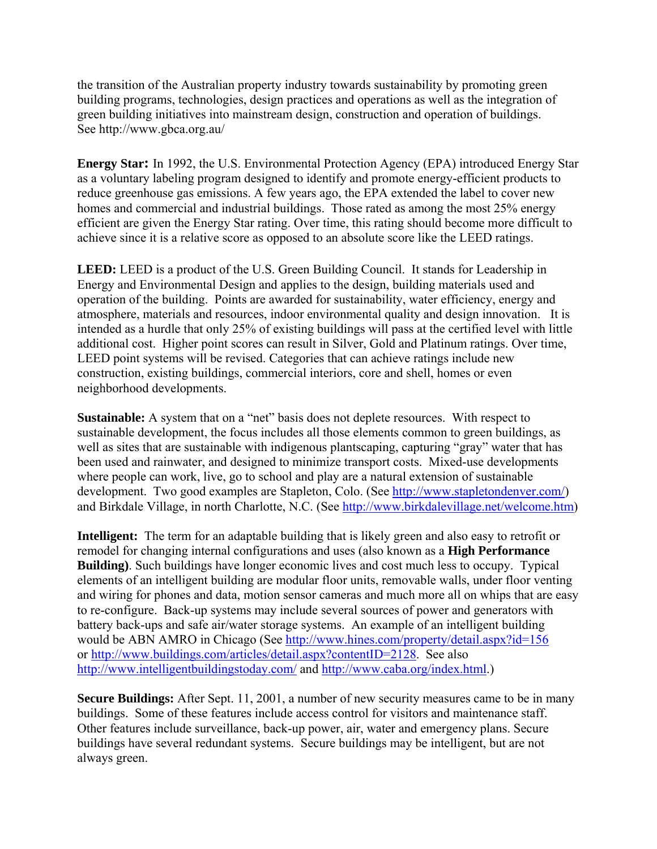the transition of the Australian property industry towards sustainability by promoting green building programs, technologies, design practices and operations as well as the integration of green building initiatives into mainstream design, construction and operation of buildings. See http://www.gbca.org.au/

**Energy Star:** In 1992, the U.S. Environmental Protection Agency (EPA) introduced Energy Star as a voluntary labeling program designed to identify and promote energy-efficient products to reduce greenhouse gas emissions. A few years ago, the EPA extended the label to cover new homes and commercial and industrial buildings. Those rated as among the most 25% energy efficient are given the Energy Star rating. Over time, this rating should become more difficult to achieve since it is a relative score as opposed to an absolute score like the LEED ratings.

**LEED:** LEED is a product of the U.S. Green Building Council. It stands for Leadership in Energy and Environmental Design and applies to the design, building materials used and operation of the building. Points are awarded for sustainability, water efficiency, energy and atmosphere, materials and resources, indoor environmental quality and design innovation. It is intended as a hurdle that only 25% of existing buildings will pass at the certified level with little additional cost. Higher point scores can result in Silver, Gold and Platinum ratings. Over time, LEED point systems will be revised. Categories that can achieve ratings include new construction, existing buildings, commercial interiors, core and shell, homes or even neighborhood developments.

**Sustainable:** A system that on a "net" basis does not deplete resources. With respect to sustainable development, the focus includes all those elements common to green buildings, as well as sites that are sustainable with indigenous plantscaping, capturing "gray" water that has been used and rainwater, and designed to minimize transport costs. Mixed-use developments where people can work, live, go to school and play are a natural extension of sustainable development. Two good examples are Stapleton, Colo. (See <http://www.stapletondenver.com/>) and Birkdale Village, in north Charlotte, N.C. (See [http://www.birkdalevillage.net/welcome.htm\)](http://www.birkdalevillage.net/welcome.htm)

**Intelligent:** The term for an adaptable building that is likely green and also easy to retrofit or remodel for changing internal configurations and uses (also known as a **High Performance Building)**. Such buildings have longer economic lives and cost much less to occupy. Typical elements of an intelligent building are modular floor units, removable walls, under floor venting and wiring for phones and data, motion sensor cameras and much more all on whips that are easy to re-configure. Back-up systems may include several sources of power and generators with battery back-ups and safe air/water storage systems. An example of an intelligent building would be ABN AMRO in Chicago (See<http://www.hines.com/property/detail.aspx?id=156> or [http://www.buildings.com/articles/detail.aspx?contentID=2128.](http://www.buildings.com/articles/detail.aspx?contentID=2128) See also <http://www.intelligentbuildingstoday.com/>and [http://www.caba.org/index.html.](http://www.caba.org/index.html))

**Secure Buildings:** After Sept. 11, 2001, a number of new security measures came to be in many buildings. Some of these features include access control for visitors and maintenance staff. Other features include surveillance, back-up power, air, water and emergency plans. Secure buildings have several redundant systems. Secure buildings may be intelligent, but are not always green.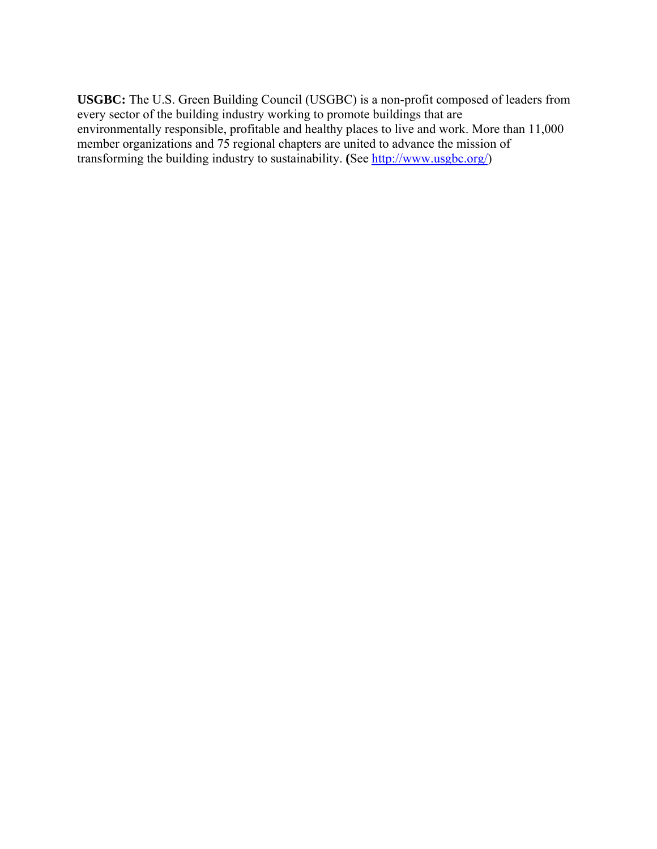**USGBC:** The U.S. Green Building Council (USGBC) is a non-profit composed of leaders from every sector of the building industry working to promote buildings that are environmentally responsible, profitable and healthy places to live and work. More than 11,000 member organizations and 75 regional chapters are united to advance the mission of transforming the building industry to sustainability. **(**See [http://www.usgbc.org/\)](http://www.usgbc.org/)